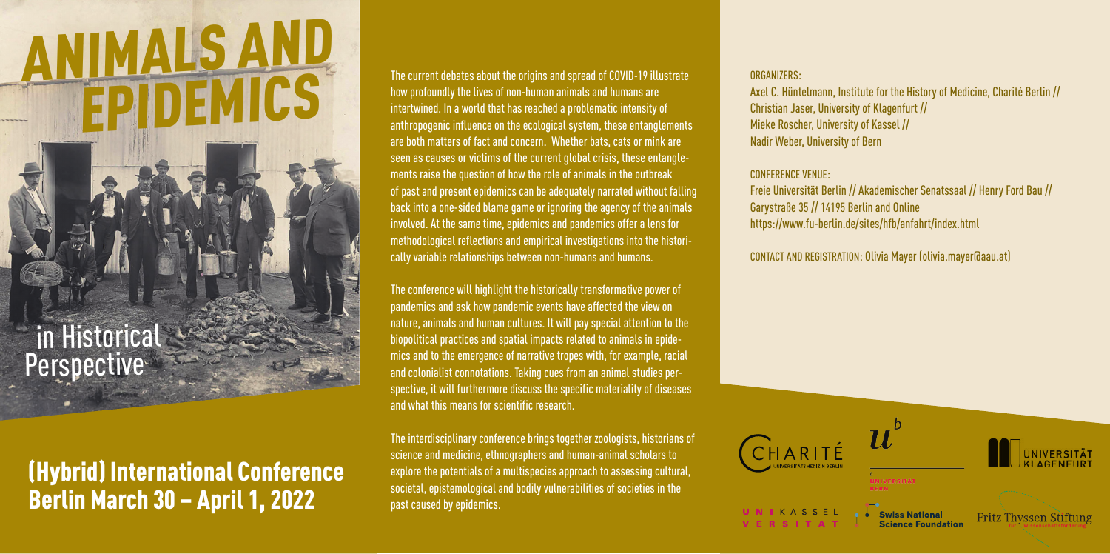# **ANIMALS AND**<br>EPIDEMICS

## in Historica **Perspective**

## (Hybrid) International Conference Berlin March 30 – April 1, 2022

The current debates about the origins and spread of COVID-19 illustrate how profoundly the lives of non-human animals and humans are intertwined. In a world that has reached a problematic intensity of anthropogenic influence on the ecological system, these entanglements are both matters of fact and concern. Whether bats, cats or mink are seen as causes or victims of the current global crisis, these entanglements raise the question of how the role of animals in the outbreak of past and present epidemics can be adequately narrated without falling back into a one-sided blame game or ignoring the agency of the animals involved. At the same time, epidemics and pandemics offer a lens for methodological reflections and empirical investigations into the historically variable relationships between non-humans and humans.

The conference will highlight the historically transformative power of pandemics and ask how pandemic events have affected the view on nature, animals and human cultures. It will pay special attention to the biopolitical practices and spatial impacts related to animals in epidemics and to the emergence of narrative tropes with, for example, racial and colonialist connotations. Taking cues from an animal studies perspective, it will furthermore discuss the specific materiality of diseases and what this means for scientific research.

The interdisciplinary conference brings together zoologists, historians of science and medicine, ethnographers and human-animal scholars to explore the potentials of a multispecies approach to assessing cultural, societal, epistemological and bodily vulnerabilities of societies in the past caused by epidemics.

#### ORGANIZERS:

Axel C. Hüntelmann, Institute for the History of Medicine, Charité Berlin // Christian Jaser, University of Klagenfurt // Mieke Roscher, University of Kassel // Nadir Weber, University of Bern

#### CONFERENCE VENUE:

Freie Universität Berlin // Akademischer Senatssaal // Henry Ford Bau // Garystraße 35 // 14195 Berlin and Online https://www.fu-berlin.de/sites/hfb/anfahrt/index.html

CONTACT AND REGISTRATION: Olivia Mayer (olivia.mayer@aau.at)